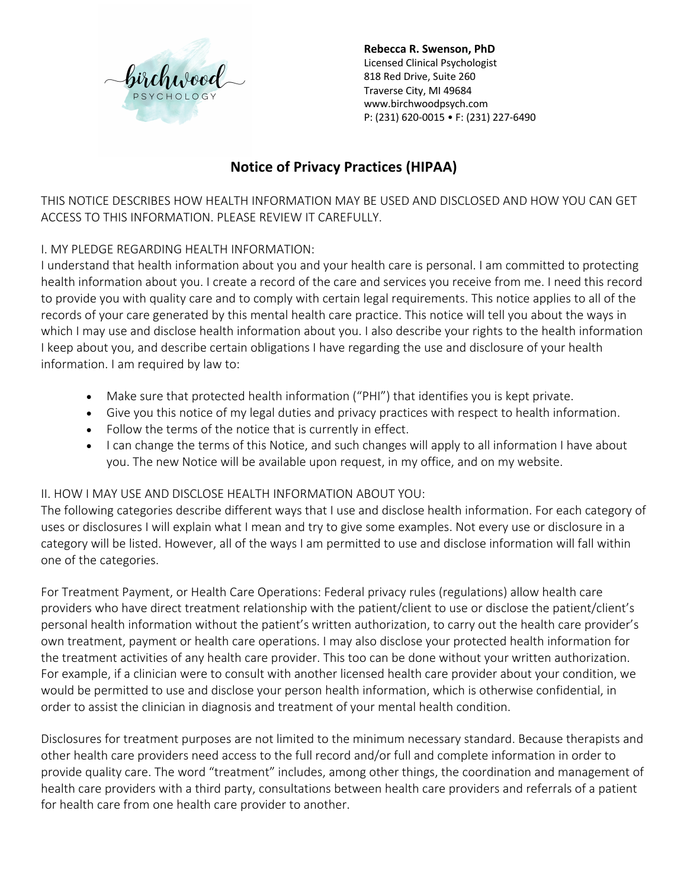

# **Notice of Privacy Practices (HIPAA)**

THIS NOTICE DESCRIBES HOW HEALTH INFORMATION MAY BE USED AND DISCLOSED AND HOW YOU CAN GET ACCESS TO THIS INFORMATION. PLEASE REVIEW IT CAREFULLY.

## I. MY PLEDGE REGARDING HEALTH INFORMATION:

I understand that health information about you and your health care is personal. I am committed to protecting health information about you. I create a record of the care and services you receive from me. I need this record to provide you with quality care and to comply with certain legal requirements. This notice applies to all of the records of your care generated by this mental health care practice. This notice will tell you about the ways in which I may use and disclose health information about you. I also describe your rights to the health information I keep about you, and describe certain obligations I have regarding the use and disclosure of your health information. I am required by law to:

- Make sure that protected health information ("PHI") that identifies you is kept private.
- Give you this notice of my legal duties and privacy practices with respect to health information.
- Follow the terms of the notice that is currently in effect.
- I can change the terms of this Notice, and such changes will apply to all information I have about you. The new Notice will be available upon request, in my office, and on my website.

#### II. HOW I MAY USE AND DISCLOSE HEALTH INFORMATION ABOUT YOU:

The following categories describe different ways that I use and disclose health information. For each category of uses or disclosures I will explain what I mean and try to give some examples. Not every use or disclosure in a category will be listed. However, all of the ways I am permitted to use and disclose information will fall within one of the categories.

For Treatment Payment, or Health Care Operations: Federal privacy rules (regulations) allow health care providers who have direct treatment relationship with the patient/client to use or disclose the patient/client's personal health information without the patient's written authorization, to carry out the health care provider's own treatment, payment or health care operations. I may also disclose your protected health information for the treatment activities of any health care provider. This too can be done without your written authorization. For example, if a clinician were to consult with another licensed health care provider about your condition, we would be permitted to use and disclose your person health information, which is otherwise confidential, in order to assist the clinician in diagnosis and treatment of your mental health condition.

Disclosures for treatment purposes are not limited to the minimum necessary standard. Because therapists and other health care providers need access to the full record and/or full and complete information in order to provide quality care. The word "treatment" includes, among other things, the coordination and management of health care providers with a third party, consultations between health care providers and referrals of a patient for health care from one health care provider to another.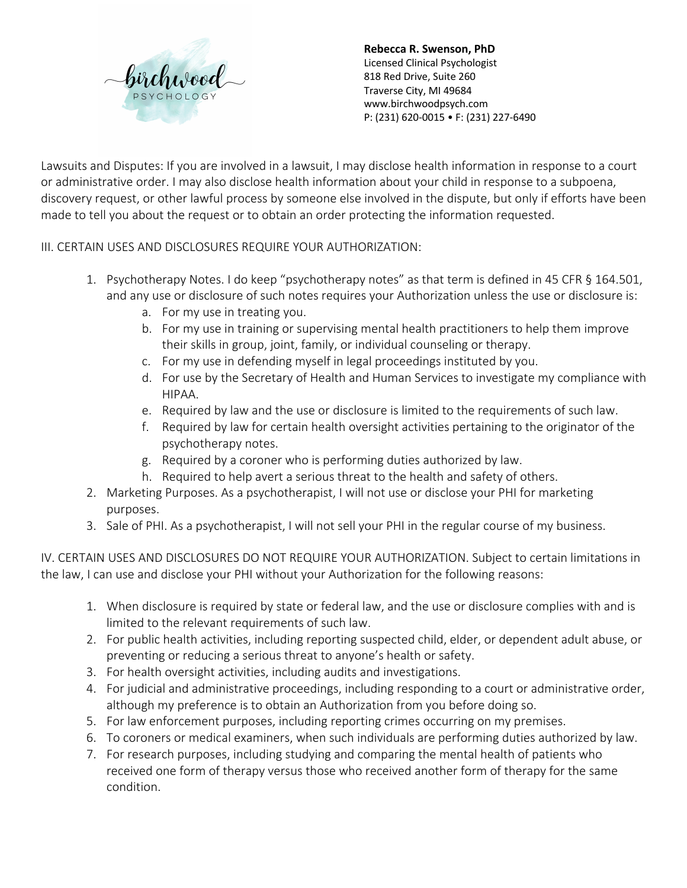

Lawsuits and Disputes: If you are involved in a lawsuit, I may disclose health information in response to a court or administrative order. I may also disclose health information about your child in response to a subpoena, discovery request, or other lawful process by someone else involved in the dispute, but only if efforts have been made to tell you about the request or to obtain an order protecting the information requested.

#### III. CERTAIN USES AND DISCLOSURES REQUIRE YOUR AUTHORIZATION:

- 1. Psychotherapy Notes. I do keep "psychotherapy notes" as that term is defined in 45 CFR § 164.501, and any use or disclosure of such notes requires your Authorization unless the use or disclosure is:
	- a. For my use in treating you.
	- b. For my use in training or supervising mental health practitioners to help them improve their skills in group, joint, family, or individual counseling or therapy.
	- c. For my use in defending myself in legal proceedings instituted by you.
	- d. For use by the Secretary of Health and Human Services to investigate my compliance with HIPAA.
	- e. Required by law and the use or disclosure is limited to the requirements of such law.
	- f. Required by law for certain health oversight activities pertaining to the originator of the psychotherapy notes.
	- g. Required by a coroner who is performing duties authorized by law.
	- h. Required to help avert a serious threat to the health and safety of others.
- 2. Marketing Purposes. As a psychotherapist, I will not use or disclose your PHI for marketing purposes.
- 3. Sale of PHI. As a psychotherapist, I will not sell your PHI in the regular course of my business.

IV. CERTAIN USES AND DISCLOSURES DO NOT REQUIRE YOUR AUTHORIZATION. Subject to certain limitations in the law, I can use and disclose your PHI without your Authorization for the following reasons:

- 1. When disclosure is required by state or federal law, and the use or disclosure complies with and is limited to the relevant requirements of such law.
- 2. For public health activities, including reporting suspected child, elder, or dependent adult abuse, or preventing or reducing a serious threat to anyone's health or safety.
- 3. For health oversight activities, including audits and investigations.
- 4. For judicial and administrative proceedings, including responding to a court or administrative order, although my preference is to obtain an Authorization from you before doing so.
- 5. For law enforcement purposes, including reporting crimes occurring on my premises.
- 6. To coroners or medical examiners, when such individuals are performing duties authorized by law.
- 7. For research purposes, including studying and comparing the mental health of patients who received one form of therapy versus those who received another form of therapy for the same condition.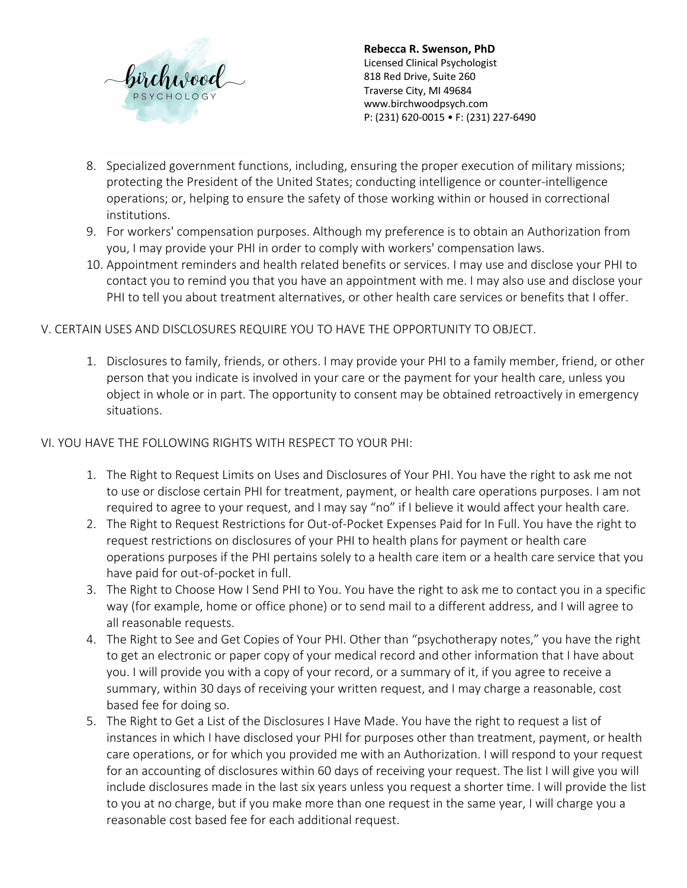

- 8. Specialized government functions, including, ensuring the proper execution of military missions; protecting the President of the United States; conducting intelligence or counter-intelligence operations; or, helping to ensure the safety of those working within or housed in correctional institutions.
- 9. For workers' compensation purposes. Although my preference is to obtain an Authorization from you, I may provide your PHI in order to comply with workers' compensation laws.
- 10. Appointment reminders and health related benefits or services. I may use and disclose your PHI to contact you to remind you that you have an appointment with me. I may also use and disclose your PHI to tell you about treatment alternatives, or other health care services or benefits that I offer.

### V. CERTAIN USES AND DISCLOSURES REQUIRE YOU TO HAVE THE OPPORTUNITY TO OBJECT.

1. Disclosures to family, friends, or others. I may provide your PHI to a family member, friend, or other person that you indicate is involved in your care or the payment for your health care, unless you object in whole or in part. The opportunity to consent may be obtained retroactively in emergency situations.

#### VI. YOU HAVE THE FOLLOWING RIGHTS WITH RESPECT TO YOUR PHI:

- 1. The Right to Request Limits on Uses and Disclosures of Your PHI. You have the right to ask me not to use or disclose certain PHI for treatment, payment, or health care operations purposes. I am not required to agree to your request, and I may say "no" if I believe it would affect your health care.
- 2. The Right to Request Restrictions for Out-of-Pocket Expenses Paid for In Full. You have the right to request restrictions on disclosures of your PHI to health plans for payment or health care operations purposes if the PHI pertains solely to a health care item or a health care service that you have paid for out-of-pocket in full.
- 3. The Right to Choose How I Send PHI to You. You have the right to ask me to contact you in a specific way (for example, home or office phone) or to send mail to a different address, and I will agree to all reasonable requests.
- 4. The Right to See and Get Copies of Your PHI. Other than "psychotherapy notes," you have the right to get an electronic or paper copy of your medical record and other information that I have about you. I will provide you with a copy of your record, or a summary of it, if you agree to receive a summary, within 30 days of receiving your written request, and I may charge a reasonable, cost based fee for doing so.
- 5. The Right to Get a List of the Disclosures I Have Made. You have the right to request a list of instances in which I have disclosed your PHI for purposes other than treatment, payment, or health care operations, or for which you provided me with an Authorization. I will respond to your request for an accounting of disclosures within 60 days of receiving your request. The list I will give you will include disclosures made in the last six years unless you request a shorter time. I will provide the list to you at no charge, but if you make more than one request in the same year, I will charge you a reasonable cost based fee for each additional request.